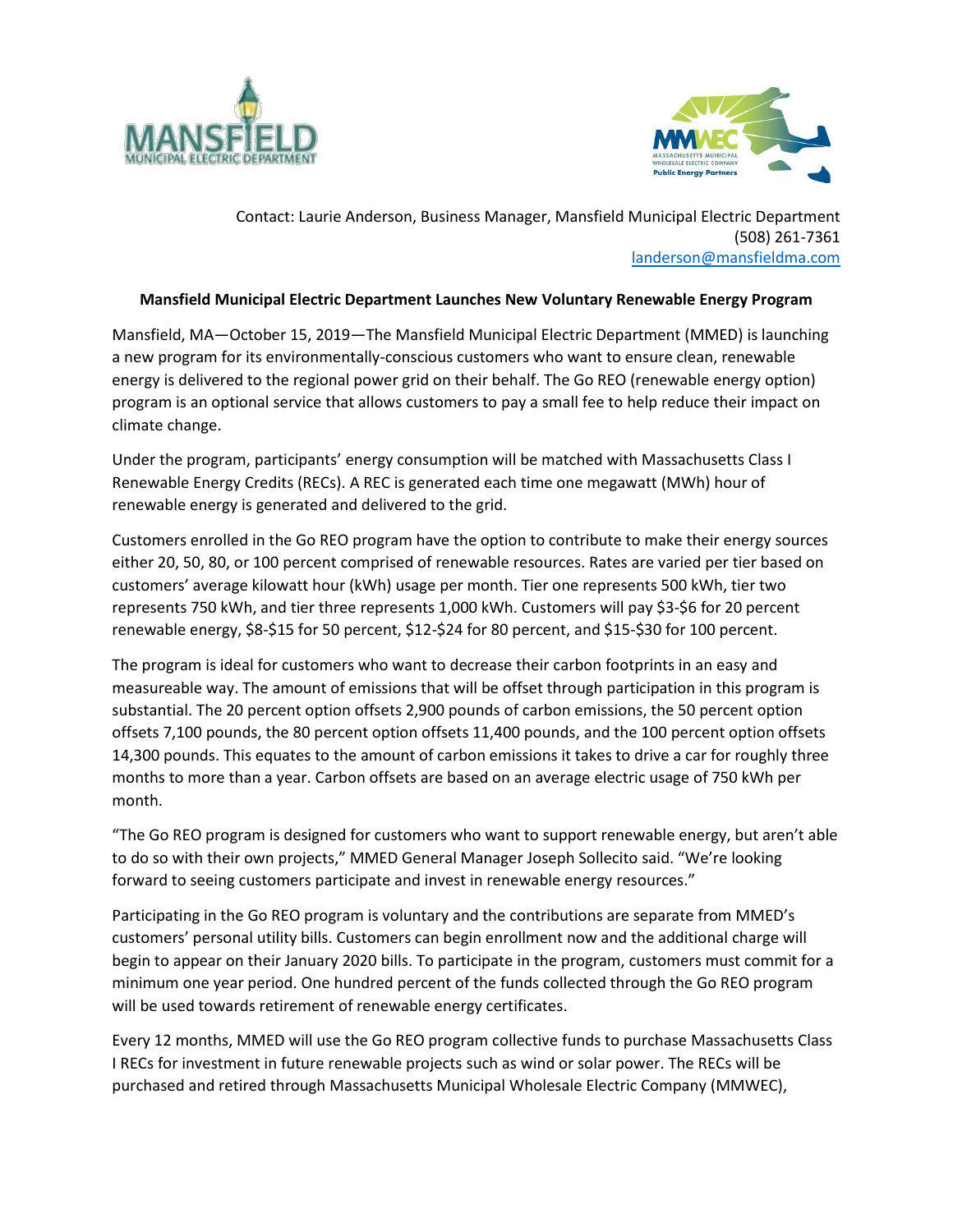



Contact: Laurie Anderson, Business Manager, Mansfield Municipal Electric Department (508) 261-7361 landerson@mansfieldma.com

## **Mansfield Municipal Electric Department Launches New Voluntary Renewable Energy Program**

Mansfield, MA—October 15, 2019—The Mansfield Municipal Electric Department (MMED) is launching a new program for its environmentally-conscious customers who want to ensure clean, renewable energy is delivered to the regional power grid on their behalf. The Go REO (renewable energy option) program is an optional service that allows customers to pay a small fee to help reduce their impact on climate change.

Under the program, participants' energy consumption will be matched with Massachusetts Class I Renewable Energy Credits (RECs). A REC is generated each time one megawatt (MWh) hour of renewable energy is generated and delivered to the grid.

Customers enrolled in the Go REO program have the option to contribute to make their energy sources either 20, 50, 80, or 100 percent comprised of renewable resources. Rates are varied per tier based on customers' average kilowatt hour (kWh) usage per month. Tier one represents 500 kWh, tier two represents 750 kWh, and tier three represents 1,000 kWh. Customers will pay \$3-\$6 for 20 percent renewable energy, \$8-\$15 for 50 percent, \$12-\$24 for 80 percent, and \$15-\$30 for 100 percent.

The program is ideal for customers who want to decrease their carbon footprints in an easy and measureable way. The amount of emissions that will be offset through participation in this program is substantial. The 20 percent option offsets 2,900 pounds of carbon emissions, the 50 percent option offsets 7,100 pounds, the 80 percent option offsets 11,400 pounds, and the 100 percent option offsets 14,300 pounds. This equates to the amount of carbon emissions it takes to drive a car for roughly three months to more than a year. Carbon offsets are based on an average electric usage of 750 kWh per month.

"The Go REO program is designed for customers who want to support renewable energy, but aren't able to do so with their own projects," MMED General Manager Joseph Sollecito said. "We're looking forward to seeing customers participate and invest in renewable energy resources."

Participating in the Go REO program is voluntary and the contributions are separate from MMED's customers' personal utility bills. Customers can begin enrollment now and the additional charge will begin to appear on their January 2020 bills. To participate in the program, customers must commit for a minimum one year period. One hundred percent of the funds collected through the Go REO program will be used towards retirement of renewable energy certificates.

Every 12 months, MMED will use the Go REO program collective funds to purchase Massachusetts Class I RECs for investment in future renewable projects such as wind or solar power. The RECs will be purchased and retired through Massachusetts Municipal Wholesale Electric Company (MMWEC),